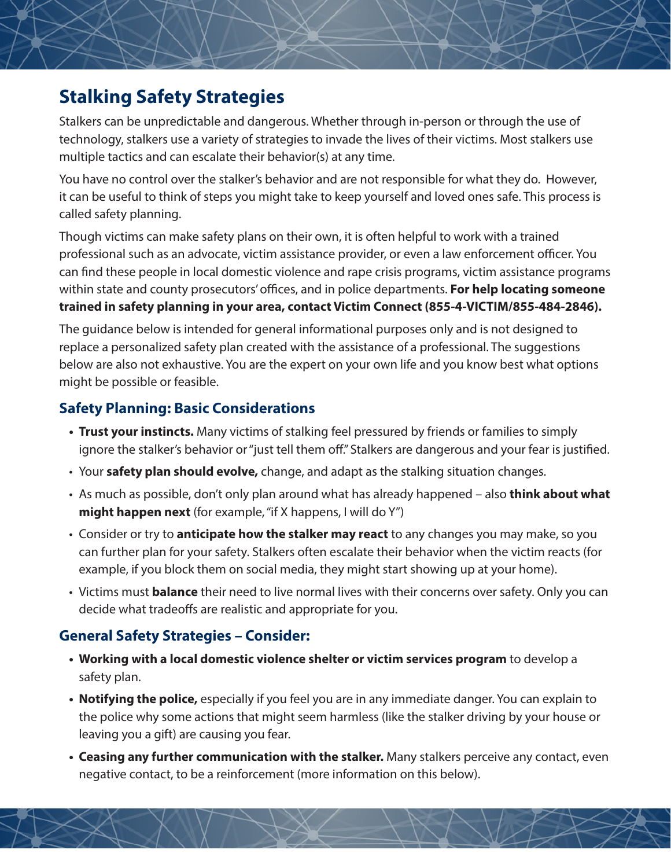## **Stalking Safety Strategies**

Stalkers can be unpredictable and dangerous. Whether through in-person or through the use of technology, stalkers use a variety of strategies to invade the lives of their victims. Most stalkers use multiple tactics and can escalate their behavior(s) at any time.

You have no control over the stalker's behavior and are not responsible for what they do. However, it can be useful to think of steps you might take to keep yourself and loved ones safe. This process is called safety planning.

Though victims can make safety plans on their own, it is often helpful to work with a trained professional such as an advocate, victim assistance provider, or even a law enforcement officer. You can find these people in local domestic violence and rape crisis programs, victim assistance programs within state and county prosecutors' offices, and in police departments. **For help locating someone trained in safety planning in your area, contact Victim Connect (855-4-VICTIM/855-484-2846).**

The guidance below is intended for general informational purposes only and is not designed to replace a personalized safety plan created with the assistance of a professional. The suggestions below are also not exhaustive. You are the expert on your own life and you know best what options might be possible or feasible.

#### **Safety Planning: Basic Considerations**

- **• Trust your instincts.** Many victims of stalking feel pressured by friends or families to simply ignore the stalker's behavior or "just tell them off." Stalkers are dangerous and your fear is justified.
- Your **safety plan should evolve,** change, and adapt as the stalking situation changes.
- As much as possible, don't only plan around what has already happened also **think about what might happen next** (for example, "if X happens, I will do Y")
- Consider or try to **anticipate how the stalker may react** to any changes you may make, so you can further plan for your safety. Stalkers often escalate their behavior when the victim reacts (for example, if you block them on social media, they might start showing up at your home).
- Victims must **balance** their need to live normal lives with their concerns over safety. Only you can decide what tradeoffs are realistic and appropriate for you.

#### **General Safety Strategies – Consider:**

- **• Working with a local domestic violence shelter or victim services program** to develop a safety plan.
- **• Notifying the police,** especially if you feel you are in any immediate danger. You can explain to the police why some actions that might seem harmless (like the stalker driving by your house or leaving you a gift) are causing you fear.
- **• Ceasing any further communication with the stalker.** Many stalkers perceive any contact, even negative contact, to be a reinforcement (more information on this below).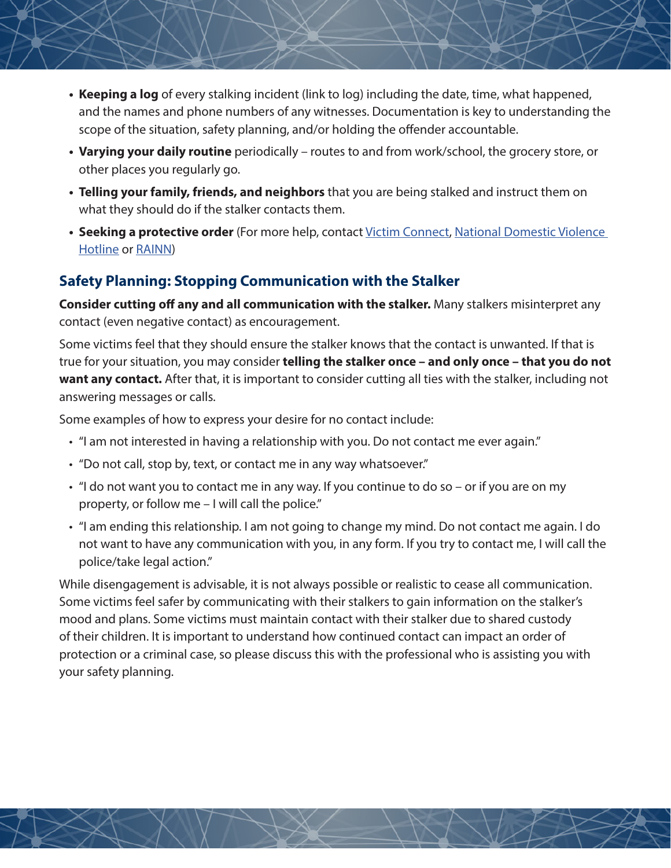- **• Keeping a log** of every stalking incident (link to log) including the date, time, what happened, and the names and phone numbers of any witnesses. Documentation is key to understanding the scope of the situation, safety planning, and/or holding the offender accountable.
- **• Varying your daily routine** periodically routes to and from work/school, the grocery store, or other places you regularly go.
- **• Telling your family, friends, and neighbors** that you are being stalked and instruct them on what they should do if the stalker contacts them.
- **• Seeking a protective order** (For more help, contact [Victim Connect](https://victimconnect.org/
), [National Domestic Violence](https://www.thehotline.org/contact/)  [Hotline](https://www.thehotline.org/contact/) or [RAINN\)](https://www.rainn.org/about-national-sexual-assault-telephone-hotline)

#### **Safety Planning: Stopping Communication with the Stalker**

**Consider cutting off any and all communication with the stalker.** Many stalkers misinterpret any contact (even negative contact) as encouragement.

Some victims feel that they should ensure the stalker knows that the contact is unwanted. If that is true for your situation, you may consider **telling the stalker once – and only once – that you do not want any contact.** After that, it is important to consider cutting all ties with the stalker, including not answering messages or calls.

Some examples of how to express your desire for no contact include:

- "I am not interested in having a relationship with you. Do not contact me ever again."
- "Do not call, stop by, text, or contact me in any way whatsoever."
- "I do not want you to contact me in any way. If you continue to do so or if you are on my property, or follow me – I will call the police."
- "I am ending this relationship. I am not going to change my mind. Do not contact me again. I do not want to have any communication with you, in any form. If you try to contact me, I will call the police/take legal action."

While disengagement is advisable, it is not always possible or realistic to cease all communication. Some victims feel safer by communicating with their stalkers to gain information on the stalker's mood and plans. Some victims must maintain contact with their stalker due to shared custody of their children. It is important to understand how continued contact can impact an order of protection or a criminal case, so please discuss this with the professional who is assisting you with your safety planning.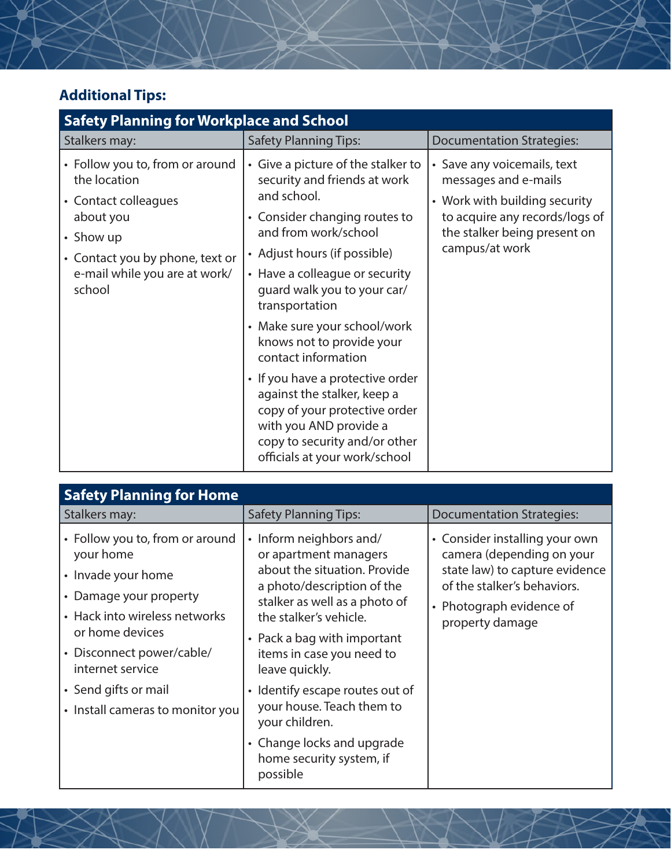# **Additional Tips:**

| <b>Safety Planning for Workplace and School</b>                                                                                                                                 |                                                                                                                                                                                                                                                                                                                                                                                                                                                                                                                                                   |                                                                                                                                                                          |  |  |
|---------------------------------------------------------------------------------------------------------------------------------------------------------------------------------|---------------------------------------------------------------------------------------------------------------------------------------------------------------------------------------------------------------------------------------------------------------------------------------------------------------------------------------------------------------------------------------------------------------------------------------------------------------------------------------------------------------------------------------------------|--------------------------------------------------------------------------------------------------------------------------------------------------------------------------|--|--|
| Stalkers may:                                                                                                                                                                   | <b>Safety Planning Tips:</b>                                                                                                                                                                                                                                                                                                                                                                                                                                                                                                                      | <b>Documentation Strategies:</b>                                                                                                                                         |  |  |
| • Follow you to, from or around<br>the location<br>• Contact colleagues<br>about you<br>• Show up<br>• Contact you by phone, text or<br>e-mail while you are at work/<br>school | • Give a picture of the stalker to<br>security and friends at work<br>and school.<br>• Consider changing routes to<br>and from work/school<br>• Adjust hours (if possible)<br>• Have a colleague or security<br>guard walk you to your car/<br>transportation<br>• Make sure your school/work<br>knows not to provide your<br>contact information<br>• If you have a protective order<br>against the stalker, keep a<br>copy of your protective order<br>with you AND provide a<br>copy to security and/or other<br>officials at your work/school | • Save any voicemails, text<br>messages and e-mails<br>• Work with building security<br>to acquire any records/logs of<br>the stalker being present on<br>campus/at work |  |  |

| <b>Safety Planning for Home</b>                                                                                               |                                                                                                                                                                                                                                                                                                                                           |                                                                                                                                                                             |  |  |
|-------------------------------------------------------------------------------------------------------------------------------|-------------------------------------------------------------------------------------------------------------------------------------------------------------------------------------------------------------------------------------------------------------------------------------------------------------------------------------------|-----------------------------------------------------------------------------------------------------------------------------------------------------------------------------|--|--|
| Stalkers may:                                                                                                                 | <b>Safety Planning Tips:</b>                                                                                                                                                                                                                                                                                                              | <b>Documentation Strategies:</b>                                                                                                                                            |  |  |
| • Follow you to, from or around<br>your home<br>• Invade your home<br>• Damage your property<br>• Hack into wireless networks | • Inform neighbors and/<br>or apartment managers<br>about the situation. Provide<br>a photo/description of the<br>stalker as well as a photo of<br>the stalker's vehicle.<br>• Pack a bag with important<br>items in case you need to<br>leave quickly.<br>• Identify escape routes out of<br>your house. Teach them to<br>your children. | • Consider installing your own<br>camera (depending on your<br>state law) to capture evidence<br>of the stalker's behaviors.<br>• Photograph evidence of<br>property damage |  |  |
| or home devices<br>• Disconnect power/cable/<br>internet service                                                              |                                                                                                                                                                                                                                                                                                                                           |                                                                                                                                                                             |  |  |
| • Send gifts or mail<br>• Install cameras to monitor you                                                                      |                                                                                                                                                                                                                                                                                                                                           |                                                                                                                                                                             |  |  |
|                                                                                                                               | • Change locks and upgrade<br>home security system, if<br>possible                                                                                                                                                                                                                                                                        |                                                                                                                                                                             |  |  |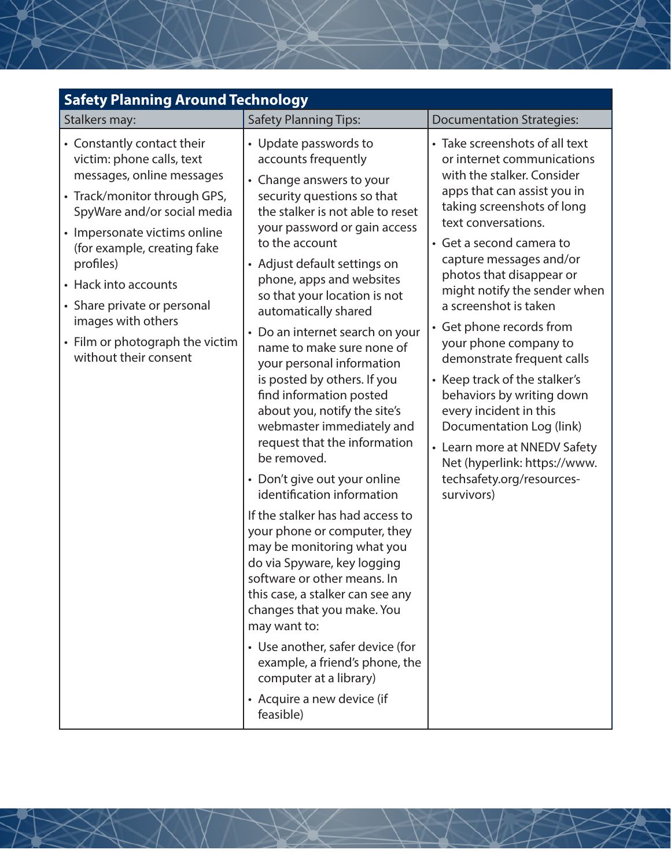| Stalkers may:<br><b>Safety Planning Tips:</b><br><b>Documentation Strategies:</b><br>• Take screenshots of all text<br>• Constantly contact their<br>• Update passwords to<br>victim: phone calls, text<br>accounts frequently<br>or internet communications<br>messages, online messages<br>with the stalker. Consider<br>• Change answers to your<br>apps that can assist you in<br>• Track/monitor through GPS,<br>security questions so that<br>taking screenshots of long<br>the stalker is not able to reset<br>SpyWare and/or social media<br>text conversations.<br>your password or gain access<br>• Impersonate victims online<br>• Get a second camera to<br>to the account<br>(for example, creating fake<br>capture messages and/or<br>profiles)<br>• Adjust default settings on<br>photos that disappear or<br>phone, apps and websites<br>• Hack into accounts<br>so that your location is not<br>• Share private or personal<br>a screenshot is taken<br>automatically shared<br>images with others<br>• Get phone records from<br>• Do an internet search on your<br>• Film or photograph the victim<br>your phone company to<br>name to make sure none of<br>without their consent<br>demonstrate frequent calls<br>your personal information<br>is posted by others. If you<br>• Keep track of the stalker's<br>find information posted<br>behaviors by writing down<br>about you, notify the site's<br>every incident in this<br>webmaster immediately and<br>Documentation Log (link)<br>request that the information<br>• Learn more at NNEDV Safety<br>be removed.<br>Net (hyperlink: https://www.<br>techsafety.org/resources-<br>• Don't give out your online<br>identification information<br>survivors)<br>If the stalker has had access to<br>your phone or computer, they<br>may be monitoring what you<br>do via Spyware, key logging<br>software or other means. In<br>this case, a stalker can see any<br>changes that you make. You<br>may want to:<br>• Use another, safer device (for | <b>Safety Planning Around Technology</b> |                                |                              |  |  |
|--------------------------------------------------------------------------------------------------------------------------------------------------------------------------------------------------------------------------------------------------------------------------------------------------------------------------------------------------------------------------------------------------------------------------------------------------------------------------------------------------------------------------------------------------------------------------------------------------------------------------------------------------------------------------------------------------------------------------------------------------------------------------------------------------------------------------------------------------------------------------------------------------------------------------------------------------------------------------------------------------------------------------------------------------------------------------------------------------------------------------------------------------------------------------------------------------------------------------------------------------------------------------------------------------------------------------------------------------------------------------------------------------------------------------------------------------------------------------------------------------------------------------------------------------------------------------------------------------------------------------------------------------------------------------------------------------------------------------------------------------------------------------------------------------------------------------------------------------------------------------------------------------------------------------------------------------------------------------------------------------------------------------|------------------------------------------|--------------------------------|------------------------------|--|--|
|                                                                                                                                                                                                                                                                                                                                                                                                                                                                                                                                                                                                                                                                                                                                                                                                                                                                                                                                                                                                                                                                                                                                                                                                                                                                                                                                                                                                                                                                                                                                                                                                                                                                                                                                                                                                                                                                                                                                                                                                                          |                                          |                                |                              |  |  |
| computer at a library)<br>• Acquire a new device (if                                                                                                                                                                                                                                                                                                                                                                                                                                                                                                                                                                                                                                                                                                                                                                                                                                                                                                                                                                                                                                                                                                                                                                                                                                                                                                                                                                                                                                                                                                                                                                                                                                                                                                                                                                                                                                                                                                                                                                     |                                          | example, a friend's phone, the | might notify the sender when |  |  |

 $\searrow$ 

大

 $\sum_{i=1}^{n}$